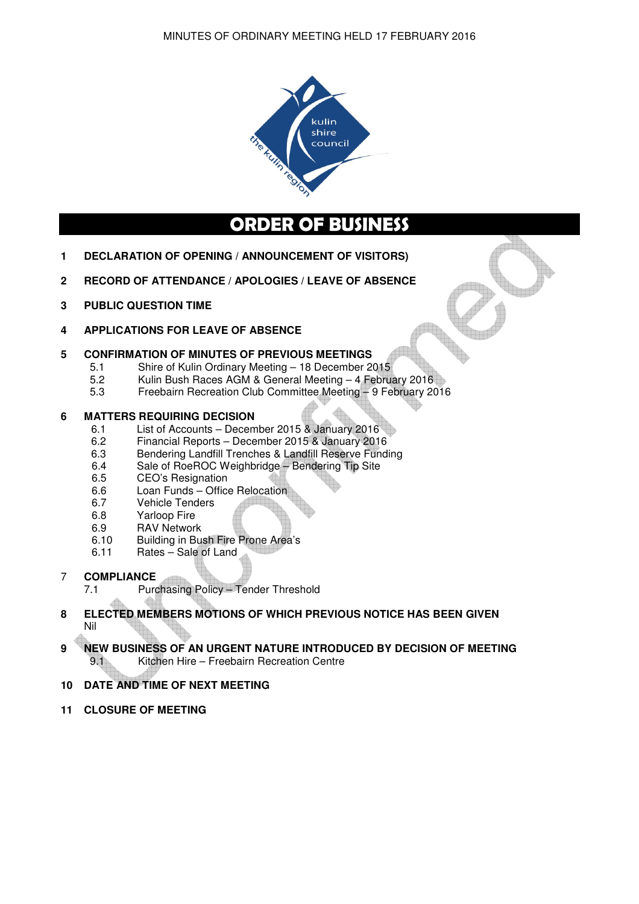

# **ORDER OF BUSINESS**

- **1 DECLARATION OF OPENING / ANNOUNCEMENT OF VISITORS)**
- **2 RECORD OF ATTENDANCE / APOLOGIES / LEAVE OF ABSENCE**
- **3 PUBLIC QUESTION TIME**
- **4 APPLICATIONS FOR LEAVE OF ABSENCE**

# **5 CONFIRMATION OF MINUTES OF PREVIOUS MEETINGS**

- 5.1 Shire of Kulin Ordinary Meeting 18 December 2015
- 5.2 Kulin Bush Races AGM & General Meeting 4 February 2016
- 5.3 Freebairn Recreation Club Committee Meeting 9 February 2016

# **6 MATTERS REQUIRING DECISION**<br>6.1 List of Accounts – Decem

- 6.1 List of Accounts December 2015 & January 2016<br>6.2 Financial Reports December 2015 & January 2016
- 6.2 Financial Reports December 2015 & January 2016
- 6.3 Bendering Landfill Trenches & Landfill Reserve Funding<br>6.4 Sale of RoeROC Weighbridge Bendering Tip Site
- Sale of RoeROC Weighbridge Bendering Tip Site
- 6.5 CEO's Resignation
- 6.6 Loan Funds Office Relocation
- 6.7 Vehicle Tenders
- 6.8 Yarloop Fire
- 6.9 RAV Network
- 6.10 Building in Bush Fire Prone Area's
- 6.11 Rates Sale of Land
- 7 **COMPLIANCE**
	- 7.1 Purchasing Policy Tender Threshold

# **8 ELECTED MEMBERS MOTIONS OF WHICH PREVIOUS NOTICE HAS BEEN GIVEN**  Nil

# **9 NEW BUSINESS OF AN URGENT NATURE INTRODUCED BY DECISION OF MEETING**  9.1 Kitchen Hire – Freebairn Recreation Centre

# **10 DATE AND TIME OF NEXT MEETING**

**11 CLOSURE OF MEETING**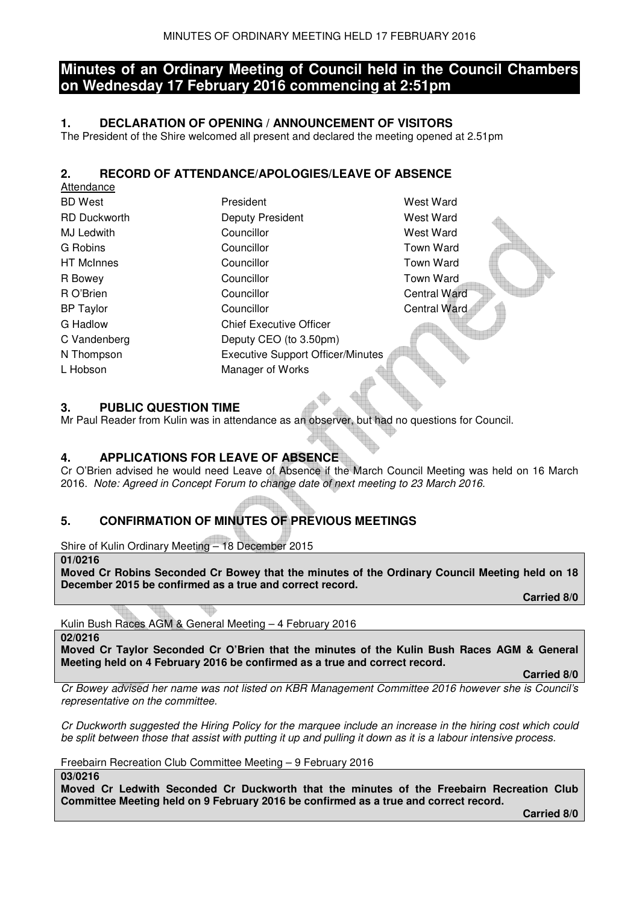# **Minutes of an Ordinary Meeting of Council held in the Council Chambers on Wednesday 17 February 2016 commencing at 2:51pm**

# **1. DECLARATION OF OPENING / ANNOUNCEMENT OF VISITORS**

The President of the Shire welcomed all present and declared the meeting opened at 2.51pm

# **2. RECORD OF ATTENDANCE/APOLOGIES/LEAVE OF ABSENCE**

| West Ward<br>President                               |  |
|------------------------------------------------------|--|
| <b>RD Duckworth</b><br>Deputy President<br>West Ward |  |
| Councillor<br>West Ward                              |  |
| <b>Town Ward</b><br>Councillor                       |  |
| <b>Town Ward</b><br>Councillor                       |  |
| Town Ward<br>Councillor                              |  |
| <b>Central Ward</b><br>Councillor                    |  |
| Councillor<br>Central Ward                           |  |
| <b>Chief Executive Officer</b>                       |  |
| Deputy CEO (to 3.50pm)                               |  |
| <b>Executive Support Officer/Minutes</b>             |  |
| Manager of Works                                     |  |
|                                                      |  |

# **3. PUBLIC QUESTION TIME**

Mr Paul Reader from Kulin was in attendance as an observer, but had no questions for Council.

# **4. APPLICATIONS FOR LEAVE OF ABSENCE**

Cr O'Brien advised he would need Leave of Absence if the March Council Meeting was held on 16 March 2016. *Note: Agreed in Concept Forum to change date of next meeting to 23 March 2016.* 

# **5. CONFIRMATION OF MINUTES OF PREVIOUS MEETINGS**

Shire of Kulin Ordinary Meeting – 18 December 2015

**01/0216** 

Attondance

**Moved Cr Robins Seconded Cr Bowey that the minutes of the Ordinary Council Meeting held on 18 December 2015 be confirmed as a true and correct record.** 

 **Carried 8/0** 

Kulin Bush Races AGM & General Meeting – 4 February 2016

**02/0216** 

**Moved Cr Taylor Seconded Cr O'Brien that the minutes of the Kulin Bush Races AGM & General Meeting held on 4 February 2016 be confirmed as a true and correct record.** 

 **Carried 8/0** 

*Cr Bowey advised her name was not listed on KBR Management Committee 2016 however she is Council's representative on the committee.* 

*Cr Duckworth suggested the Hiring Policy for the marquee include an increase in the hiring cost which could be split between those that assist with putting it up and pulling it down as it is a labour intensive process.* 

Freebairn Recreation Club Committee Meeting – 9 February 2016

**03/0216** 

**Moved Cr Ledwith Seconded Cr Duckworth that the minutes of the Freebairn Recreation Club Committee Meeting held on 9 February 2016 be confirmed as a true and correct record.**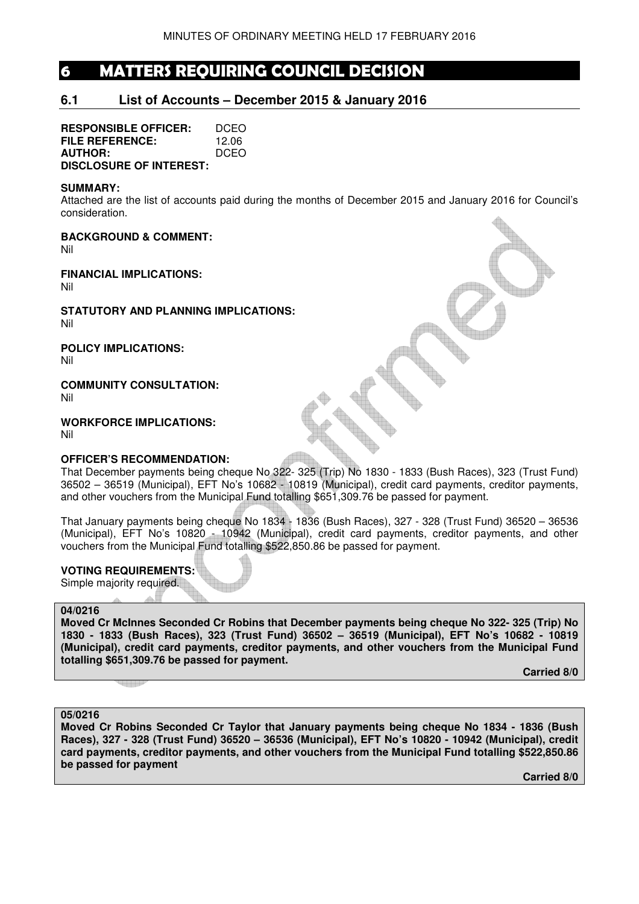# **6 MATTERS REQUIRING COUNCIL DECISION**

# **6.1 List of Accounts – December 2015 & January 2016**

**RESPONSIBLE OFFICER:** DCEO **FILE REFERENCE:** 12.06 **AUTHOR:** DCEO **DISCLOSURE OF INTEREST:** 

#### **SUMMARY:**

Attached are the list of accounts paid during the months of December 2015 and January 2016 for Council's consideration.

**BACKGROUND & COMMENT:** 

Nil

**FINANCIAL IMPLICATIONS:**  Nil

**STATUTORY AND PLANNING IMPLICATIONS:**  Nil

**POLICY IMPLICATIONS:** 

Nil

# **COMMUNITY CONSULTATION:**

Nil

**WORKFORCE IMPLICATIONS:** 

Nil

# **OFFICER'S RECOMMENDATION:**

That December payments being cheque No 322- 325 (Trip) No 1830 - 1833 (Bush Races), 323 (Trust Fund) 36502 – 36519 (Municipal), EFT No's 10682 - 10819 (Municipal), credit card payments, creditor payments, and other vouchers from the Municipal Fund totalling \$651,309.76 be passed for payment.

That January payments being cheque No 1834 - 1836 (Bush Races), 327 - 328 (Trust Fund) 36520 – 36536 (Municipal), EFT No's 10820 - 10942 (Municipal), credit card payments, creditor payments, and other vouchers from the Municipal Fund totalling \$522,850.86 be passed for payment.

# **VOTING REQUIREMENTS:**

Simple majority required.

#### **04/0216**

**Moved Cr McInnes Seconded Cr Robins that December payments being cheque No 322- 325 (Trip) No 1830 - 1833 (Bush Races), 323 (Trust Fund) 36502 – 36519 (Municipal), EFT No's 10682 - 10819 (Municipal), credit card payments, creditor payments, and other vouchers from the Municipal Fund totalling \$651,309.76 be passed for payment.** 

 **Carried 8/0** 

#### **05/0216**

**Moved Cr Robins Seconded Cr Taylor that January payments being cheque No 1834 - 1836 (Bush Races), 327 - 328 (Trust Fund) 36520 – 36536 (Municipal), EFT No's 10820 - 10942 (Municipal), credit card payments, creditor payments, and other vouchers from the Municipal Fund totalling \$522,850.86 be passed for payment**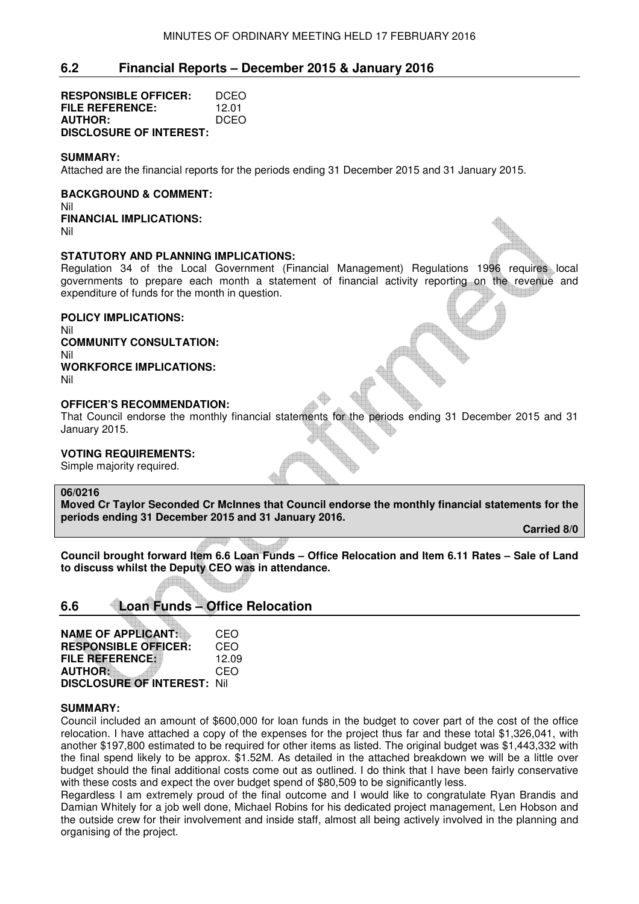# **6.2 Financial Reports – December 2015 & January 2016**

| <b>RESPONSIBLE OFFICER:</b>    | DCEO  |
|--------------------------------|-------|
| FILE REFERENCE:                | 12.01 |
| <b>AUTHOR:</b>                 | DCEO  |
| <b>DISCLOSURE OF INTEREST:</b> |       |

#### **SUMMARY:**

Attached are the financial reports for the periods ending 31 December 2015 and 31 January 2015.

#### **BACKGROUND & COMMENT:**  Nil

**FINANCIAL IMPLICATIONS:**  Nil

#### **STATUTORY AND PLANNING IMPLICATIONS:**

Regulation 34 of the Local Government (Financial Management) Regulations 1996 requires local governments to prepare each month a statement of financial activity reporting on the revenue and expenditure of funds for the month in question.

#### **POLICY IMPLICATIONS:**

Nil

**COMMUNITY CONSULTATION:**  Nil **WORKFORCE IMPLICATIONS:** 

Nil

# **OFFICER'S RECOMMENDATION:**

That Council endorse the monthly financial statements for the periods ending 31 December 2015 and 31 January 2015.

# **VOTING REQUIREMENTS:**

Simple majority required.

# **06/0216**

**Moved Cr Taylor Seconded Cr McInnes that Council endorse the monthly financial statements for the periods ending 31 December 2015 and 31 January 2016.** 

 **Carried 8/0** 

**Council brought forward Item 6.6 Loan Funds – Office Relocation and Item 6.11 Rates – Sale of Land to discuss whilst the Deputy CEO was in attendance.**

# **6.6 Loan Funds – Office Relocation**

| <b>NAME OF APPLICANT:</b>          | CEO   |
|------------------------------------|-------|
| <b>RESPONSIBLE OFFICER:</b>        | CEO   |
| <b>FILE REFERENCE:</b>             | 12.09 |
| <b>AUTHOR:</b>                     | CEO   |
| <b>DISCLOSURE OF INTEREST: Nil</b> |       |

#### **SUMMARY:**

Council included an amount of \$600,000 for loan funds in the budget to cover part of the cost of the office relocation. I have attached a copy of the expenses for the project thus far and these total \$1,326,041, with another \$197,800 estimated to be required for other items as listed. The original budget was \$1,443,332 with the final spend likely to be approx. \$1.52M. As detailed in the attached breakdown we will be a little over budget should the final additional costs come out as outlined. I do think that I have been fairly conservative with these costs and expect the over budget spend of \$80,509 to be significantly less.

Regardless I am extremely proud of the final outcome and I would like to congratulate Ryan Brandis and Damian Whitely for a job well done, Michael Robins for his dedicated project management, Len Hobson and the outside crew for their involvement and inside staff, almost all being actively involved in the planning and organising of the project.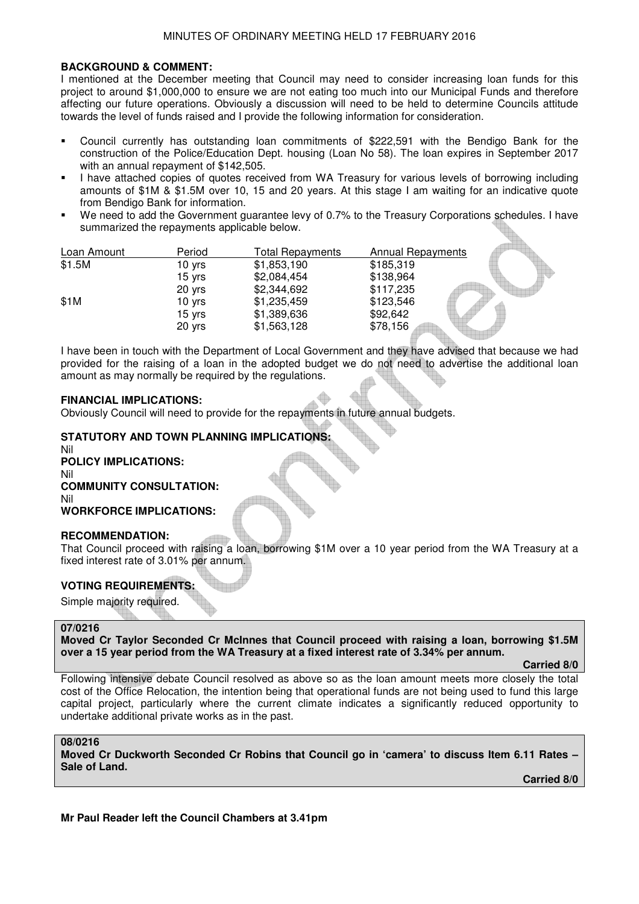### **BACKGROUND & COMMENT:**

I mentioned at the December meeting that Council may need to consider increasing loan funds for this project to around \$1,000,000 to ensure we are not eating too much into our Municipal Funds and therefore affecting our future operations. Obviously a discussion will need to be held to determine Councils attitude towards the level of funds raised and I provide the following information for consideration.

- Council currently has outstanding loan commitments of \$222,591 with the Bendigo Bank for the construction of the Police/Education Dept. housing (Loan No 58). The loan expires in September 2017 with an annual repayment of \$142,505.
- I have attached copies of quotes received from WA Treasury for various levels of borrowing including amounts of \$1M & \$1.5M over 10, 15 and 20 years. At this stage I am waiting for an indicative quote from Bendigo Bank for information.
- We need to add the Government guarantee levy of 0.7% to the Treasury Corporations schedules. I have summarized the repayments applicable below.

| Loan Amount | Period | Total Repayments | <b>Annual Repayments</b> |  |
|-------------|--------|------------------|--------------------------|--|
| \$1.5M      | 10 yrs | \$1,853,190      | \$185,319                |  |
|             | 15 yrs | \$2,084,454      | \$138,964                |  |
|             | 20 yrs | \$2,344,692      | \$117,235                |  |
| \$1M        | 10 yrs | \$1,235,459      | \$123,546                |  |
|             | 15 yrs | \$1,389,636      | \$92,642                 |  |
|             | 20 yrs | \$1,563,128      | \$78,156                 |  |

I have been in touch with the Department of Local Government and they have advised that because we had provided for the raising of a loan in the adopted budget we do not need to advertise the additional loan amount as may normally be required by the regulations.

#### **FINANCIAL IMPLICATIONS:**

Obviously Council will need to provide for the repayments in future annual budgets.

# **STATUTORY AND TOWN PLANNING IMPLICATIONS:**

Nil **POLICY IMPLICATIONS:** Nil **COMMUNITY CONSULTATION:** Nil **WORKFORCE IMPLICATIONS:**

# **RECOMMENDATION:**

That Council proceed with raising a loan, borrowing \$1M over a 10 year period from the WA Treasury at a fixed interest rate of 3.01% per annum.

# **VOTING REQUIREMENTS:**

Simple majority required.

#### **07/0216**

**Moved Cr Taylor Seconded Cr McInnes that Council proceed with raising a loan, borrowing \$1.5M over a 15 year period from the WA Treasury at a fixed interest rate of 3.34% per annum.** 

 **Carried 8/0** 

Following intensive debate Council resolved as above so as the loan amount meets more closely the total cost of the Office Relocation, the intention being that operational funds are not being used to fund this large capital project, particularly where the current climate indicates a significantly reduced opportunity to undertake additional private works as in the past.

#### **08/0216**

**Moved Cr Duckworth Seconded Cr Robins that Council go in 'camera' to discuss Item 6.11 Rates – Sale of Land.** 

 **Carried 8/0** 

**Mr Paul Reader left the Council Chambers at 3.41pm**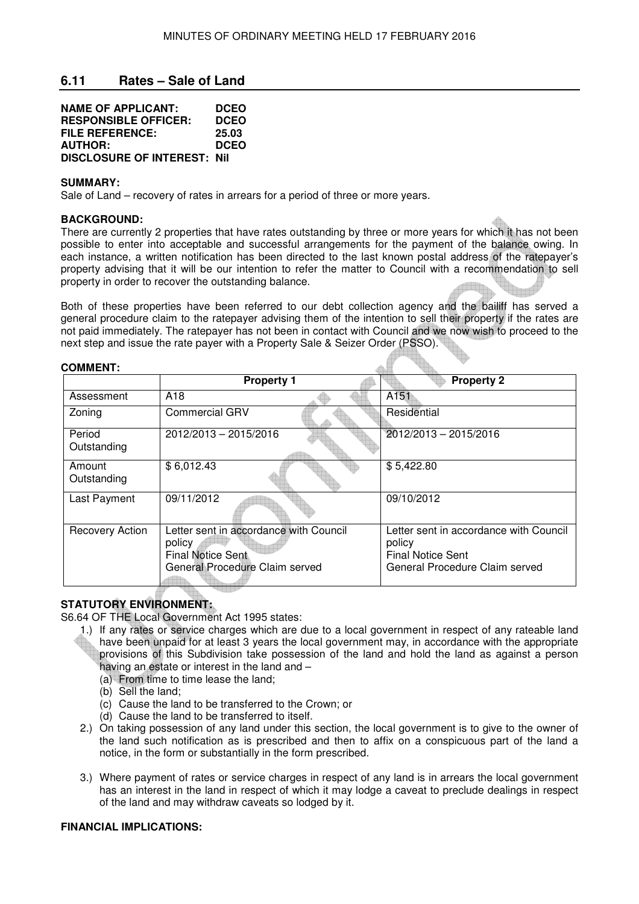# **6.11 Rates – Sale of Land**

| <b>NAME OF APPLICANT:</b>          | <b>DCEO</b> |
|------------------------------------|-------------|
| <b>RESPONSIBLE OFFICER:</b>        | <b>DCEO</b> |
| FILE REFERENCE:                    | 25.03       |
| <b>AUTHOR:</b>                     | <b>DCEO</b> |
| <b>DISCLOSURE OF INTEREST: Nil</b> |             |

#### **SUMMARY:**

**COMMENT:** 

Sale of Land – recovery of rates in arrears for a period of three or more years.

#### **BACKGROUND:**

There are currently 2 properties that have rates outstanding by three or more years for which it has not been possible to enter into acceptable and successful arrangements for the payment of the balance owing. In each instance, a written notification has been directed to the last known postal address of the ratepayer's property advising that it will be our intention to refer the matter to Council with a recommendation to sell property in order to recover the outstanding balance.

Both of these properties have been referred to our debt collection agency and the bailiff has served a general procedure claim to the ratepayer advising them of the intention to sell their property if the rates are not paid immediately. The ratepayer has not been in contact with Council and we now wish to proceed to the next step and issue the rate payer with a Property Sale & Seizer Order (PSSO).

| COMMENI:               |                                                                                                                |                                                                                                                |
|------------------------|----------------------------------------------------------------------------------------------------------------|----------------------------------------------------------------------------------------------------------------|
|                        | <b>Property 1</b>                                                                                              | <b>Property 2</b>                                                                                              |
| Assessment             | A <sub>18</sub>                                                                                                | A <sub>151</sub>                                                                                               |
| Zoning                 | <b>Commercial GRV</b>                                                                                          | Residential                                                                                                    |
| Period<br>Outstanding  | 2012/2013 - 2015/2016                                                                                          | 2012/2013 - 2015/2016                                                                                          |
| Amount<br>Outstanding  | \$6,012.43                                                                                                     | \$5,422.80                                                                                                     |
| Last Payment           | 09/11/2012                                                                                                     | 09/10/2012                                                                                                     |
| <b>Recovery Action</b> | Letter sent in accordance with Council<br>policy<br><b>Final Notice Sent</b><br>General Procedure Claim served | Letter sent in accordance with Council<br>policy<br><b>Final Notice Sent</b><br>General Procedure Claim served |

# **STATUTORY ENVIRONMENT:**

S6.64 OF THE Local Government Act 1995 states:

- 1.) If any rates or service charges which are due to a local government in respect of any rateable land have been unpaid for at least 3 years the local government may, in accordance with the appropriate provisions of this Subdivision take possession of the land and hold the land as against a person having an estate or interest in the land and –
	- (a) From time to time lease the land;
	- (b) Sell the land;
	- (c) Cause the land to be transferred to the Crown; or
	- (d) Cause the land to be transferred to itself.
- 2.) On taking possession of any land under this section, the local government is to give to the owner of the land such notification as is prescribed and then to affix on a conspicuous part of the land a notice, in the form or substantially in the form prescribed.
- 3.) Where payment of rates or service charges in respect of any land is in arrears the local government has an interest in the land in respect of which it may lodge a caveat to preclude dealings in respect of the land and may withdraw caveats so lodged by it.

### **FINANCIAL IMPLICATIONS:**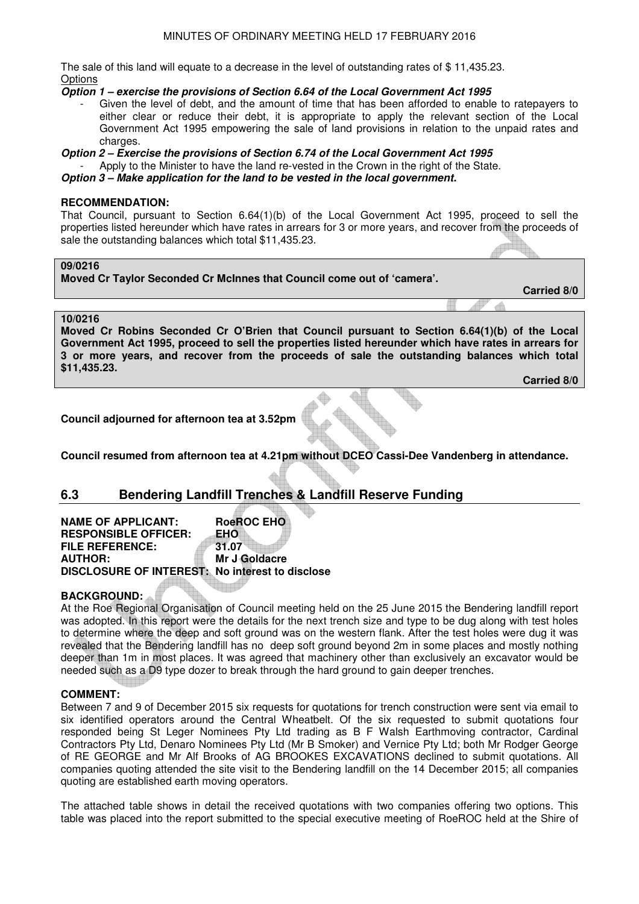The sale of this land will equate to a decrease in the level of outstanding rates of \$ 11,435.23. **Options** 

**Option 1 – exercise the provisions of Section 6.64 of the Local Government Act 1995** 

Given the level of debt, and the amount of time that has been afforded to enable to ratepayers to either clear or reduce their debt, it is appropriate to apply the relevant section of the Local Government Act 1995 empowering the sale of land provisions in relation to the unpaid rates and charges.

**Option 2 – Exercise the provisions of Section 6.74 of the Local Government Act 1995** 

Apply to the Minister to have the land re-vested in the Crown in the right of the State.

**Option 3 – Make application for the land to be vested in the local government.** 

#### **RECOMMENDATION:**

That Council, pursuant to Section 6.64(1)(b) of the Local Government Act 1995, proceed to sell the properties listed hereunder which have rates in arrears for 3 or more years, and recover from the proceeds of sale the outstanding balances which total \$11,435.23.

# **09/0216**

**Moved Cr Taylor Seconded Cr McInnes that Council come out of 'camera'. Carried 8/0** 

# **10/0216**

**Moved Cr Robins Seconded Cr O'Brien that Council pursuant to Section 6.64(1)(b) of the Local Government Act 1995, proceed to sell the properties listed hereunder which have rates in arrears for 3 or more years, and recover from the proceeds of sale the outstanding balances which total \$11,435.23.** 

 **Carried 8/0** 

**Council adjourned for afternoon tea at 3.52pm** 

**Council resumed from afternoon tea at 4.21pm without DCEO Cassi-Dee Vandenberg in attendance.** 

# **6.3 Bendering Landfill Trenches & Landfill Reserve Funding**

| <b>NAME OF APPLICANT:</b>                              | <b>RoeROC EHO</b> |
|--------------------------------------------------------|-------------------|
| <b>RESPONSIBLE OFFICER:</b>                            | EHO               |
| <b>FILE REFERENCE:</b>                                 | 31.07             |
| <b>AUTHOR:</b>                                         | Mr J Goldacre     |
| <b>DISCLOSURE OF INTEREST: No interest to disclose</b> |                   |

# **BACKGROUND:**

At the Roe Regional Organisation of Council meeting held on the 25 June 2015 the Bendering landfill report was adopted. In this report were the details for the next trench size and type to be dug along with test holes to determine where the deep and soft ground was on the western flank. After the test holes were dug it was revealed that the Bendering landfill has no deep soft ground beyond 2m in some places and mostly nothing deeper than 1m in most places. It was agreed that machinery other than exclusively an excavator would be needed such as a D9 type dozer to break through the hard ground to gain deeper trenches.

#### **COMMENT:**

Between 7 and 9 of December 2015 six requests for quotations for trench construction were sent via email to six identified operators around the Central Wheatbelt. Of the six requested to submit quotations four responded being St Leger Nominees Pty Ltd trading as B F Walsh Earthmoving contractor, Cardinal Contractors Pty Ltd, Denaro Nominees Pty Ltd (Mr B Smoker) and Vernice Pty Ltd; both Mr Rodger George of RE GEORGE and Mr Alf Brooks of AG BROOKES EXCAVATIONS declined to submit quotations. All companies quoting attended the site visit to the Bendering landfill on the 14 December 2015; all companies quoting are established earth moving operators.

The attached table shows in detail the received quotations with two companies offering two options. This table was placed into the report submitted to the special executive meeting of RoeROC held at the Shire of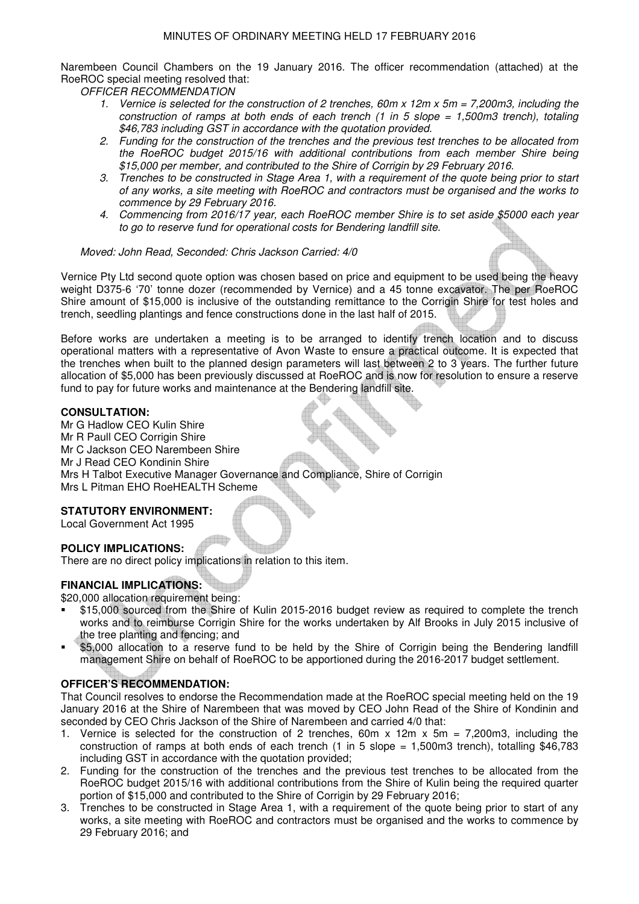Narembeen Council Chambers on the 19 January 2016. The officer recommendation (attached) at the RoeROC special meeting resolved that:

*OFFICER RECOMMENDATION* 

- *1. Vernice is selected for the construction of 2 trenches, 60m x 12m x 5m = 7,200m3, including the construction of ramps at both ends of each trench (1 in 5 slope = 1,500m3 trench), totaling \$46,783 including GST in accordance with the quotation provided.*
- *2. Funding for the construction of the trenches and the previous test trenches to be allocated from the RoeROC budget 2015/16 with additional contributions from each member Shire being \$15,000 per member, and contributed to the Shire of Corrigin by 29 February 2016.*
- *3. Trenches to be constructed in Stage Area 1, with a requirement of the quote being prior to start of any works, a site meeting with RoeROC and contractors must be organised and the works to commence by 29 February 2016.*
- *4. Commencing from 2016/17 year, each RoeROC member Shire is to set aside \$5000 each year to go to reserve fund for operational costs for Bendering landfill site.*

#### *Moved: John Read, Seconded: Chris Jackson Carried: 4/0*

Vernice Pty Ltd second quote option was chosen based on price and equipment to be used being the heavy weight D375-6 '70' tonne dozer (recommended by Vernice) and a 45 tonne excavator. The per RoeROC Shire amount of \$15,000 is inclusive of the outstanding remittance to the Corrigin Shire for test holes and trench, seedling plantings and fence constructions done in the last half of 2015.

Before works are undertaken a meeting is to be arranged to identify trench location and to discuss operational matters with a representative of Avon Waste to ensure a practical outcome. It is expected that the trenches when built to the planned design parameters will last between 2 to 3 years. The further future allocation of \$5,000 has been previously discussed at RoeROC and is now for resolution to ensure a reserve fund to pay for future works and maintenance at the Bendering landfill site.

#### **CONSULTATION:**

Mr G Hadlow CEO Kulin Shire Mr R Paull CEO Corrigin Shire Mr C Jackson CEO Narembeen Shire Mr J Read CEO Kondinin Shire Mrs H Talbot Executive Manager Governance and Compliance, Shire of Corrigin Mrs L Pitman EHO RoeHEALTH Scheme

# **STATUTORY ENVIRONMENT:**

Local Government Act 1995

# **POLICY IMPLICATIONS:**

There are no direct policy implications in relation to this item.

# **FINANCIAL IMPLICATIONS:**

\$20,000 allocation requirement being:

- \$15,000 sourced from the Shire of Kulin 2015-2016 budget review as required to complete the trench works and to reimburse Corrigin Shire for the works undertaken by Alf Brooks in July 2015 inclusive of the tree planting and fencing; and
- \$5,000 allocation to a reserve fund to be held by the Shire of Corrigin being the Bendering landfill management Shire on behalf of RoeROC to be apportioned during the 2016-2017 budget settlement.

# **OFFICER'S RECOMMENDATION:**

That Council resolves to endorse the Recommendation made at the RoeROC special meeting held on the 19 January 2016 at the Shire of Narembeen that was moved by CEO John Read of the Shire of Kondinin and seconded by CEO Chris Jackson of the Shire of Narembeen and carried 4/0 that:

- 1. Vernice is selected for the construction of 2 trenches, 60m x 12m x 5m = 7,200m3, including the construction of ramps at both ends of each trench (1 in 5 slope = 1,500m3 trench), totalling \$46,783 including GST in accordance with the quotation provided;
- 2. Funding for the construction of the trenches and the previous test trenches to be allocated from the RoeROC budget 2015/16 with additional contributions from the Shire of Kulin being the required quarter portion of \$15,000 and contributed to the Shire of Corrigin by 29 February 2016;
- 3. Trenches to be constructed in Stage Area 1, with a requirement of the quote being prior to start of any works, a site meeting with RoeROC and contractors must be organised and the works to commence by 29 February 2016; and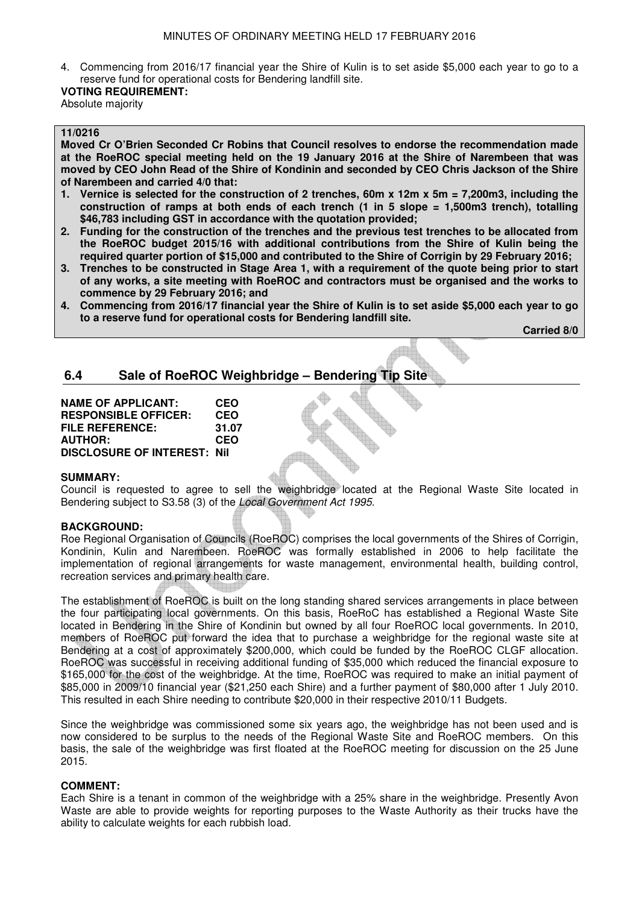4. Commencing from 2016/17 financial year the Shire of Kulin is to set aside \$5,000 each year to go to a reserve fund for operational costs for Bendering landfill site.

#### **VOTING REQUIREMENT:** Absolute majority

#### **11/0216**

**Moved Cr O'Brien Seconded Cr Robins that Council resolves to endorse the recommendation made at the RoeROC special meeting held on the 19 January 2016 at the Shire of Narembeen that was moved by CEO John Read of the Shire of Kondinin and seconded by CEO Chris Jackson of the Shire of Narembeen and carried 4/0 that:** 

- **1. Vernice is selected for the construction of 2 trenches, 60m x 12m x 5m = 7,200m3, including the construction of ramps at both ends of each trench (1 in 5 slope = 1,500m3 trench), totalling \$46,783 including GST in accordance with the quotation provided;**
- **2. Funding for the construction of the trenches and the previous test trenches to be allocated from the RoeROC budget 2015/16 with additional contributions from the Shire of Kulin being the required quarter portion of \$15,000 and contributed to the Shire of Corrigin by 29 February 2016;**
- **3. Trenches to be constructed in Stage Area 1, with a requirement of the quote being prior to start of any works, a site meeting with RoeROC and contractors must be organised and the works to commence by 29 February 2016; and**
- **4. Commencing from 2016/17 financial year the Shire of Kulin is to set aside \$5,000 each year to go to a reserve fund for operational costs for Bendering landfill site.**

 **Carried 8/0** 

# **6.4 Sale of RoeROC Weighbridge – Bendering Tip Site**

**NAME OF APPLICANT: CEO RESPONSIBLE OFFICER: CEO FILE REFERENCE: 31.07 AUTHOR: CEO DISCLOSURE OF INTEREST: Nil** 

#### **SUMMARY:**

Council is requested to agree to sell the weighbridge located at the Regional Waste Site located in Bendering subject to S3.58 (3) of the *Local Government Act 1995.* 

#### **BACKGROUND:**

Roe Regional Organisation of Councils (RoeROC) comprises the local governments of the Shires of Corrigin, Kondinin, Kulin and Narembeen. RoeROC was formally established in 2006 to help facilitate the implementation of regional arrangements for waste management, environmental health, building control, recreation services and primary health care.

The establishment of RoeROC is built on the long standing shared services arrangements in place between the four participating local governments. On this basis, RoeRoC has established a Regional Waste Site located in Bendering in the Shire of Kondinin but owned by all four RoeROC local governments. In 2010, members of RoeROC put forward the idea that to purchase a weighbridge for the regional waste site at Bendering at a cost of approximately \$200,000, which could be funded by the RoeROC CLGF allocation. RoeROC was successful in receiving additional funding of \$35,000 which reduced the financial exposure to \$165,000 for the cost of the weighbridge. At the time, RoeROC was required to make an initial payment of \$85,000 in 2009/10 financial year (\$21,250 each Shire) and a further payment of \$80,000 after 1 July 2010. This resulted in each Shire needing to contribute \$20,000 in their respective 2010/11 Budgets.

Since the weighbridge was commissioned some six years ago, the weighbridge has not been used and is now considered to be surplus to the needs of the Regional Waste Site and RoeROC members. On this basis, the sale of the weighbridge was first floated at the RoeROC meeting for discussion on the 25 June 2015.

#### **COMMENT:**

Each Shire is a tenant in common of the weighbridge with a 25% share in the weighbridge. Presently Avon Waste are able to provide weights for reporting purposes to the Waste Authority as their trucks have the ability to calculate weights for each rubbish load.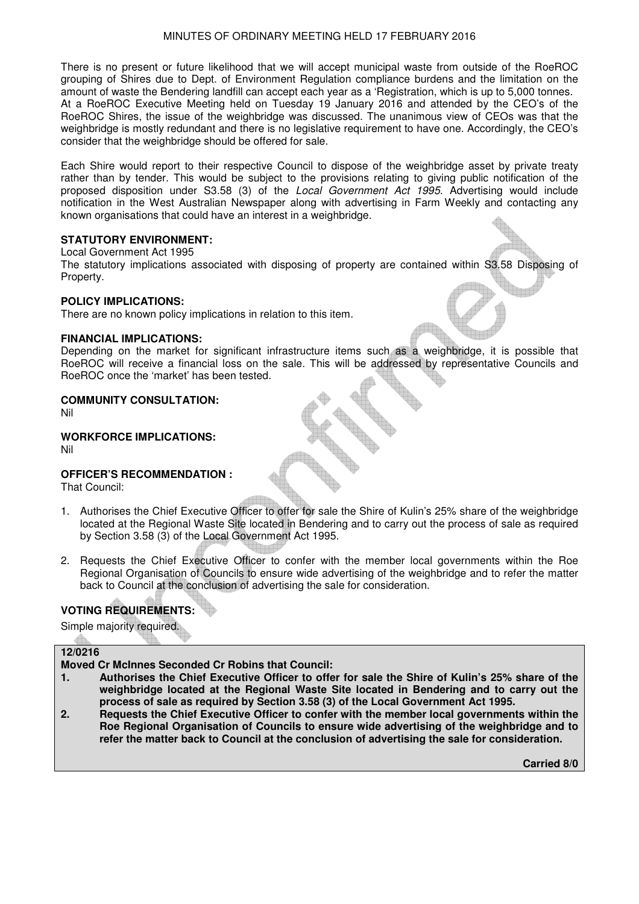There is no present or future likelihood that we will accept municipal waste from outside of the RoeROC grouping of Shires due to Dept. of Environment Regulation compliance burdens and the limitation on the amount of waste the Bendering landfill can accept each year as a 'Registration, which is up to 5,000 tonnes. At a RoeROC Executive Meeting held on Tuesday 19 January 2016 and attended by the CEO's of the RoeROC Shires, the issue of the weighbridge was discussed. The unanimous view of CEOs was that the weighbridge is mostly redundant and there is no legislative requirement to have one. Accordingly, the CEO's consider that the weighbridge should be offered for sale.

Each Shire would report to their respective Council to dispose of the weighbridge asset by private treaty rather than by tender. This would be subject to the provisions relating to giving public notification of the proposed disposition under S3.58 (3) of the *Local Government Act 1995*. Advertising would include notification in the West Australian Newspaper along with advertising in Farm Weekly and contacting any known organisations that could have an interest in a weighbridge.

#### **STATUTORY ENVIRONMENT:**

Local Government Act 1995

The statutory implications associated with disposing of property are contained within S3.58 Disposing of Property.

#### **POLICY IMPLICATIONS:**

There are no known policy implications in relation to this item.

#### **FINANCIAL IMPLICATIONS:**

Depending on the market for significant infrastructure items such as a weighbridge, it is possible that RoeROC will receive a financial loss on the sale. This will be addressed by representative Councils and RoeROC once the 'market' has been tested.

#### **COMMUNITY CONSULTATION:**

Nil

# **WORKFORCE IMPLICATIONS:**

Nil

# **OFFICER'S RECOMMENDATION :**

That Council:

- 1. Authorises the Chief Executive Officer to offer for sale the Shire of Kulin's 25% share of the weighbridge located at the Regional Waste Site located in Bendering and to carry out the process of sale as required by Section 3.58 (3) of the Local Government Act 1995.
- 2. Requests the Chief Executive Officer to confer with the member local governments within the Roe Regional Organisation of Councils to ensure wide advertising of the weighbridge and to refer the matter back to Council at the conclusion of advertising the sale for consideration.

# **VOTING REQUIREMENTS:**

Simple majority required.

# **12/0216**

**Moved Cr McInnes Seconded Cr Robins that Council:** 

- **1. Authorises the Chief Executive Officer to offer for sale the Shire of Kulin's 25% share of the weighbridge located at the Regional Waste Site located in Bendering and to carry out the process of sale as required by Section 3.58 (3) of the Local Government Act 1995.**
- **2. Requests the Chief Executive Officer to confer with the member local governments within the Roe Regional Organisation of Councils to ensure wide advertising of the weighbridge and to refer the matter back to Council at the conclusion of advertising the sale for consideration.**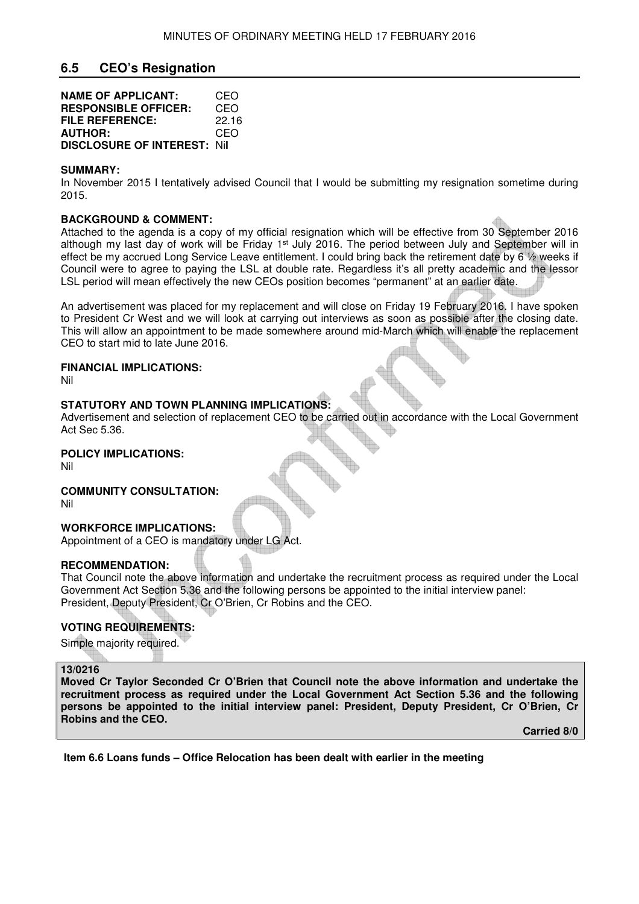# **6.5 CEO's Resignation**

| <b>NAME OF APPLICANT:</b>          | CEO   |
|------------------------------------|-------|
| <b>RESPONSIBLE OFFICER:</b>        | CEO   |
| FILE REFERENCE:                    | 22.16 |
| <b>AUTHOR:</b>                     | CEO   |
| <b>DISCLOSURE OF INTEREST: Nil</b> |       |

#### **SUMMARY:**

In November 2015 I tentatively advised Council that I would be submitting my resignation sometime during 2015.

#### **BACKGROUND & COMMENT:**

Attached to the agenda is a copy of my official resignation which will be effective from 30 September 2016 although my last day of work will be Friday 1<sup>st</sup> July 2016. The period between July and September will in effect be my accrued Long Service Leave entitlement. I could bring back the retirement date by 6 ½ weeks if Council were to agree to paying the LSL at double rate. Regardless it's all pretty academic and the lessor LSL period will mean effectively the new CEOs position becomes "permanent" at an earlier date.

An advertisement was placed for my replacement and will close on Friday 19 February 2016. I have spoken to President Cr West and we will look at carrying out interviews as soon as possible after the closing date. This will allow an appointment to be made somewhere around mid-March which will enable the replacement CEO to start mid to late June 2016.

#### **FINANCIAL IMPLICATIONS:**

Nil

# **STATUTORY AND TOWN PLANNING IMPLICATIONS:**

Advertisement and selection of replacement CEO to be carried out in accordance with the Local Government Act Sec 5.36.

#### **POLICY IMPLICATIONS:**

Nil

# **COMMUNITY CONSULTATION:**

Nil

# **WORKFORCE IMPLICATIONS:**

Appointment of a CEO is mandatory under LG Act.

#### **RECOMMENDATION:**

That Council note the above information and undertake the recruitment process as required under the Local Government Act Section 5.36 and the following persons be appointed to the initial interview panel: President, Deputy President, Cr O'Brien, Cr Robins and the CEO.

# **VOTING REQUIREMENTS:**

Simple majority required.

#### **13/0216**

**Moved Cr Taylor Seconded Cr O'Brien that Council note the above information and undertake the recruitment process as required under the Local Government Act Section 5.36 and the following persons be appointed to the initial interview panel: President, Deputy President, Cr O'Brien, Cr Robins and the CEO.** 

**Carried 8/0** 

 **Item 6.6 Loans funds – Office Relocation has been dealt with earlier in the meeting**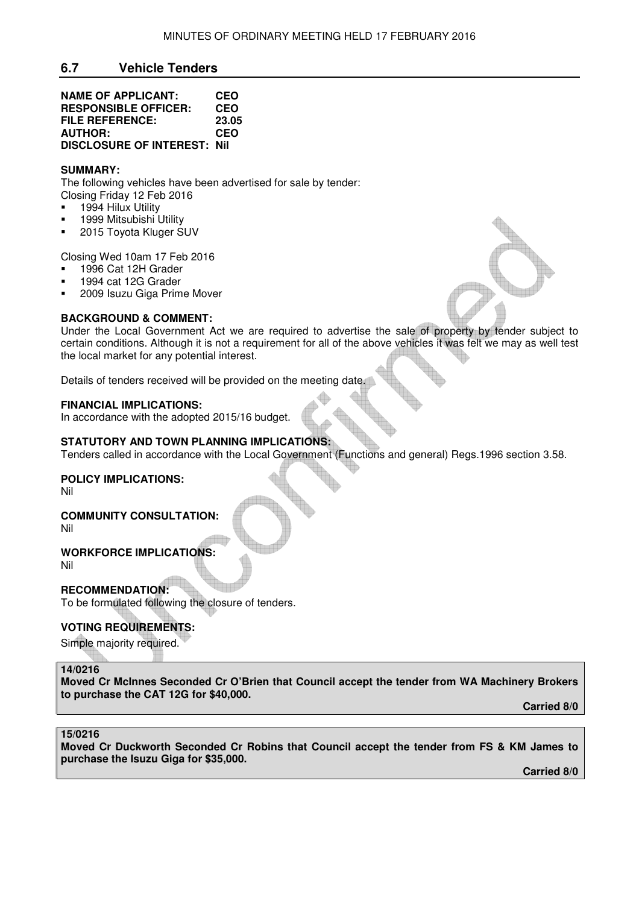# **6.7 Vehicle Tenders**

| <b>NAME OF APPLICANT:</b>          | <b>CEO</b> |
|------------------------------------|------------|
| <b>RESPONSIBLE OFFICER:</b>        | <b>CEO</b> |
| FILE REFERENCE:                    | 23.05      |
| <b>AUTHOR:</b>                     | <b>CEO</b> |
| <b>DISCLOSURE OF INTEREST: Nil</b> |            |

# **SUMMARY:**

The following vehicles have been advertised for sale by tender: Closing Friday 12 Feb 2016

- 1994 Hilux Utility
- 1999 Mitsubishi Utility
- 2015 Toyota Kluger SUV

Closing Wed 10am 17 Feb 2016

- 1996 Cat 12H Grader
- 1994 cat 12G Grader
- 2009 Isuzu Giga Prime Mover

#### **BACKGROUND & COMMENT:**

Under the Local Government Act we are required to advertise the sale of property by tender subject to certain conditions. Although it is not a requirement for all of the above vehicles it was felt we may as well test the local market for any potential interest.

Details of tenders received will be provided on the meeting date.

#### **FINANCIAL IMPLICATIONS:**

In accordance with the adopted 2015/16 budget.

# **STATUTORY AND TOWN PLANNING IMPLICATIONS:**

Tenders called in accordance with the Local Government (Functions and general) Regs.1996 section 3.58.

# **POLICY IMPLICATIONS:**

Nil

#### **COMMUNITY CONSULTATION:** Nil

**WORKFORCE IMPLICATIONS:** Nil

**RECOMMENDATION:**  To be formulated following the closure of tenders.

# **VOTING REQUIREMENTS:**

Simple majority required.

#### **14/0216**

**Moved Cr McInnes Seconded Cr O'Brien that Council accept the tender from WA Machinery Brokers to purchase the CAT 12G for \$40,000.** 

**Carried 8/0** 

# **15/0216**

**Moved Cr Duckworth Seconded Cr Robins that Council accept the tender from FS & KM James to purchase the Isuzu Giga for \$35,000.**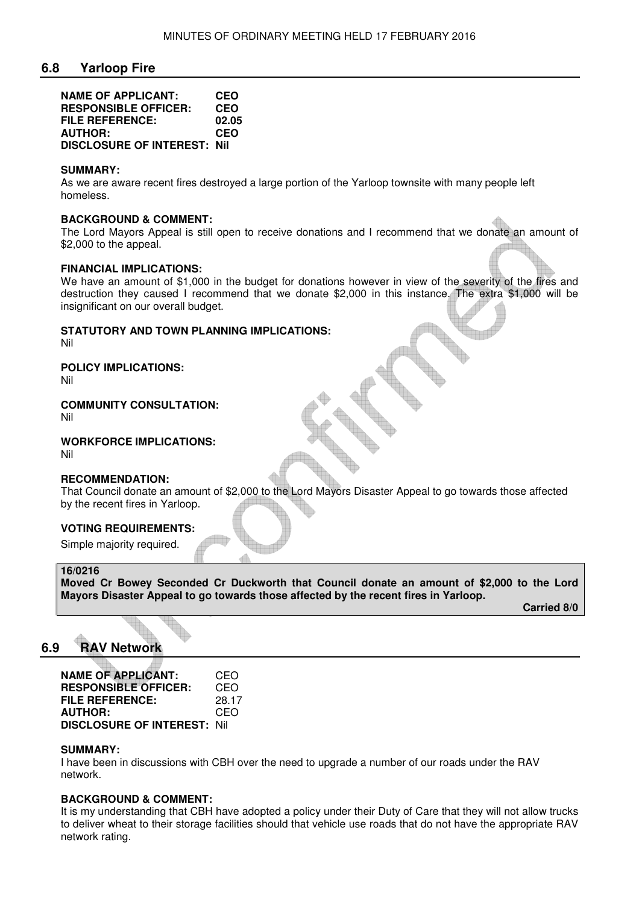# **6.8 Yarloop Fire**

| <b>NAME OF APPLICANT:</b>          | <b>CEO</b> |
|------------------------------------|------------|
| <b>RESPONSIBLE OFFICER:</b>        | <b>CEO</b> |
| <b>FILE REFERENCE:</b>             | 02.05      |
| <b>AUTHOR:</b>                     | <b>CEO</b> |
| <b>DISCLOSURE OF INTEREST: Nil</b> |            |

#### **SUMMARY:**

As we are aware recent fires destroyed a large portion of the Yarloop townsite with many people left homeless.

#### **BACKGROUND & COMMENT:**

The Lord Mayors Appeal is still open to receive donations and I recommend that we donate an amount of \$2,000 to the appeal.

#### **FINANCIAL IMPLICATIONS:**

We have an amount of \$1,000 in the budget for donations however in view of the severity of the fires and destruction they caused I recommend that we donate \$2,000 in this instance. The extra \$1,000 will be insignificant on our overall budget.

# **STATUTORY AND TOWN PLANNING IMPLICATIONS:**

Nil

# **POLICY IMPLICATIONS:**

Nil

# **COMMUNITY CONSULTATION:**

Nil

# **WORKFORCE IMPLICATIONS:**

Nil

# **RECOMMENDATION:**

That Council donate an amount of \$2,000 to the Lord Mayors Disaster Appeal to go towards those affected by the recent fires in Yarloop.

# **VOTING REQUIREMENTS:**

Simple majority required.

#### **16/0216**

**Moved Cr Bowey Seconded Cr Duckworth that Council donate an amount of \$2,000 to the Lord Mayors Disaster Appeal to go towards those affected by the recent fires in Yarloop.** 

**Carried 8/0** 

# **6.9 RAV Network**

| <b>NAME OF APPLICANT:</b>           | CEO   |
|-------------------------------------|-------|
| <b>RESPONSIBLE OFFICER:</b>         | CEO   |
| <b>FILE REFERENCE:</b>              | 28.17 |
| <b>AUTHOR:</b>                      | CEO   |
| <b>DISCLOSURE OF INTEREST: Nill</b> |       |

#### **SUMMARY:**

I have been in discussions with CBH over the need to upgrade a number of our roads under the RAV network.

# **BACKGROUND & COMMENT:**

It is my understanding that CBH have adopted a policy under their Duty of Care that they will not allow trucks to deliver wheat to their storage facilities should that vehicle use roads that do not have the appropriate RAV network rating.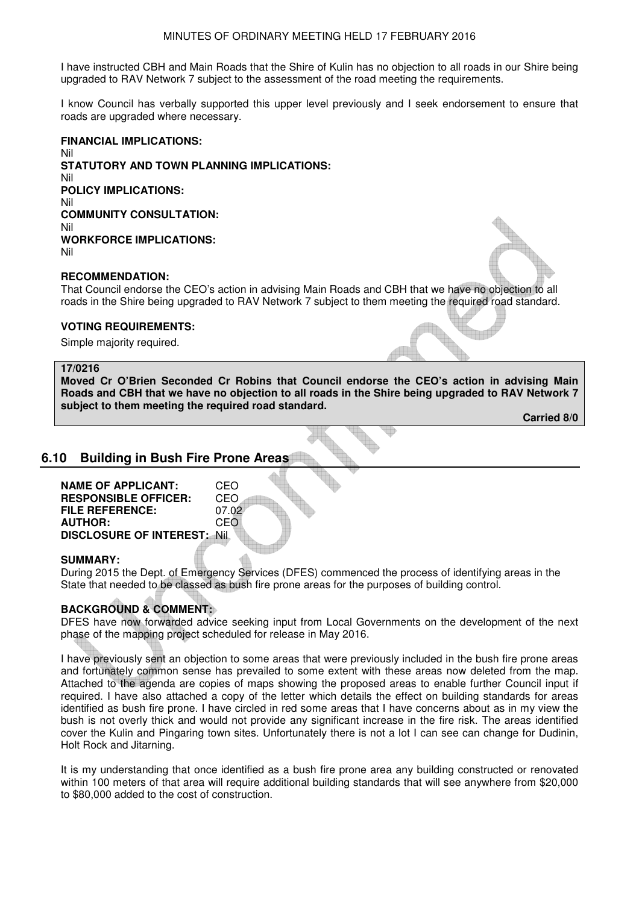#### MINUTES OF ORDINARY MEETING HELD 17 FEBRUARY 2016

I have instructed CBH and Main Roads that the Shire of Kulin has no objection to all roads in our Shire being upgraded to RAV Network 7 subject to the assessment of the road meeting the requirements.

I know Council has verbally supported this upper level previously and I seek endorsement to ensure that roads are upgraded where necessary.

**FINANCIAL IMPLICATIONS:**  Nil **STATUTORY AND TOWN PLANNING IMPLICATIONS:**  Nil **POLICY IMPLICATIONS:** Nil **COMMUNITY CONSULTATION:** Nil **WORKFORCE IMPLICATIONS:** Nil

# **RECOMMENDATION:**

That Council endorse the CEO's action in advising Main Roads and CBH that we have no objection to all roads in the Shire being upgraded to RAV Network 7 subject to them meeting the required road standard.

# **VOTING REQUIREMENTS:**

Simple majority required.

#### **17/0216**

**Moved Cr O'Brien Seconded Cr Robins that Council endorse the CEO's action in advising Main Roads and CBH that we have no objection to all roads in the Shire being upgraded to RAV Network 7 subject to them meeting the required road standard.**

 **Carried 8/0** 

# **6.10 Building in Bush Fire Prone Areas**

| <b>NAME OF APPLICANT:</b>          | CEO   |  |
|------------------------------------|-------|--|
| <b>RESPONSIBLE OFFICER:</b>        | CEO   |  |
| <b>FILE REFERENCE:</b>             | 07.02 |  |
| <b>AUTHOR:</b>                     | CEO   |  |
| <b>DISCLOSURE OF INTEREST: Nil</b> |       |  |
|                                    |       |  |

#### **SUMMARY:**

During 2015 the Dept. of Emergency Services (DFES) commenced the process of identifying areas in the State that needed to be classed as bush fire prone areas for the purposes of building control.

# **BACKGROUND & COMMENT:**

DFES have now forwarded advice seeking input from Local Governments on the development of the next phase of the mapping project scheduled for release in May 2016.

I have previously sent an objection to some areas that were previously included in the bush fire prone areas and fortunately common sense has prevailed to some extent with these areas now deleted from the map. Attached to the agenda are copies of maps showing the proposed areas to enable further Council input if required. I have also attached a copy of the letter which details the effect on building standards for areas identified as bush fire prone. I have circled in red some areas that I have concerns about as in my view the bush is not overly thick and would not provide any significant increase in the fire risk. The areas identified cover the Kulin and Pingaring town sites. Unfortunately there is not a lot I can see can change for Dudinin, Holt Rock and Jitarning.

It is my understanding that once identified as a bush fire prone area any building constructed or renovated within 100 meters of that area will require additional building standards that will see anywhere from \$20,000 to \$80,000 added to the cost of construction.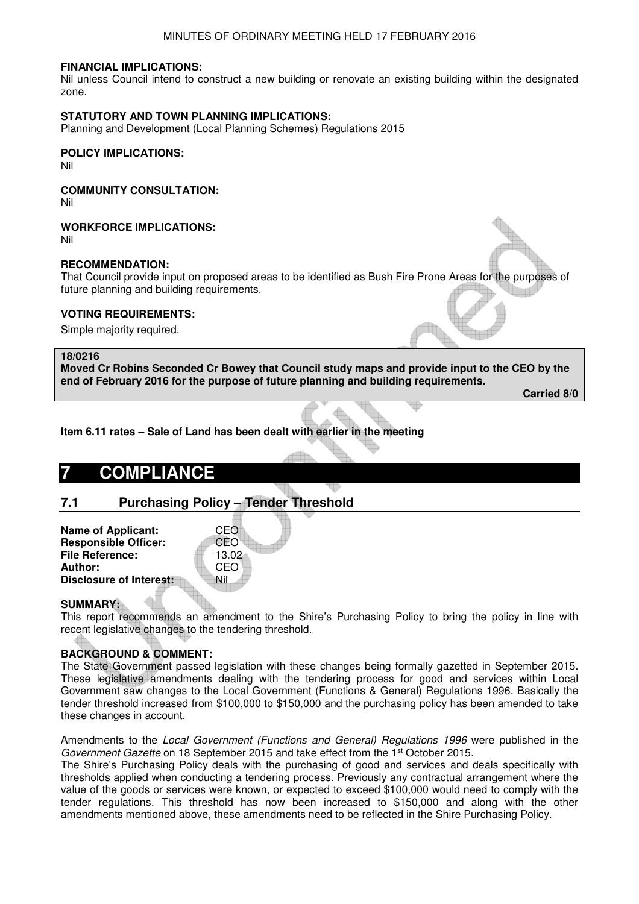#### MINUTES OF ORDINARY MEETING HELD 17 FEBRUARY 2016

#### **FINANCIAL IMPLICATIONS:**

Nil unless Council intend to construct a new building or renovate an existing building within the designated zone.

#### **STATUTORY AND TOWN PLANNING IMPLICATIONS:**

Planning and Development (Local Planning Schemes) Regulations 2015

#### **POLICY IMPLICATIONS:**

Nil

# **COMMUNITY CONSULTATION:**

Nil

#### **WORKFORCE IMPLICATIONS:**

Nil

# **RECOMMENDATION:**

That Council provide input on proposed areas to be identified as Bush Fire Prone Areas for the purposes of future planning and building requirements.

#### **VOTING REQUIREMENTS:**

Simple majority required.

#### **18/0216**

**Moved Cr Robins Seconded Cr Bowey that Council study maps and provide input to the CEO by the end of February 2016 for the purpose of future planning and building requirements.** 

**Carried 8/0** 

**Item 6.11 rates – Sale of Land has been dealt with earlier in the meeting**

# **7 COMPLIANCE**

# **7.1 Purchasing Policy – Tender Threshold**

| CEO   |
|-------|
| CEO   |
| 13.02 |
| CEO   |
| Nil   |
|       |

#### **SUMMARY:**

This report recommends an amendment to the Shire's Purchasing Policy to bring the policy in line with recent legislative changes to the tendering threshold.

# **BACKGROUND & COMMENT:**

The State Government passed legislation with these changes being formally gazetted in September 2015. These legislative amendments dealing with the tendering process for good and services within Local Government saw changes to the Local Government (Functions & General) Regulations 1996. Basically the tender threshold increased from \$100,000 to \$150,000 and the purchasing policy has been amended to take these changes in account.

Amendments to the *Local Government (Functions and General) Regulations 1996* were published in the *Government Gazette* on 18 September 2015 and take effect from the 1st October 2015.

The Shire's Purchasing Policy deals with the purchasing of good and services and deals specifically with thresholds applied when conducting a tendering process. Previously any contractual arrangement where the value of the goods or services were known, or expected to exceed \$100,000 would need to comply with the tender regulations. This threshold has now been increased to \$150,000 and along with the other amendments mentioned above, these amendments need to be reflected in the Shire Purchasing Policy.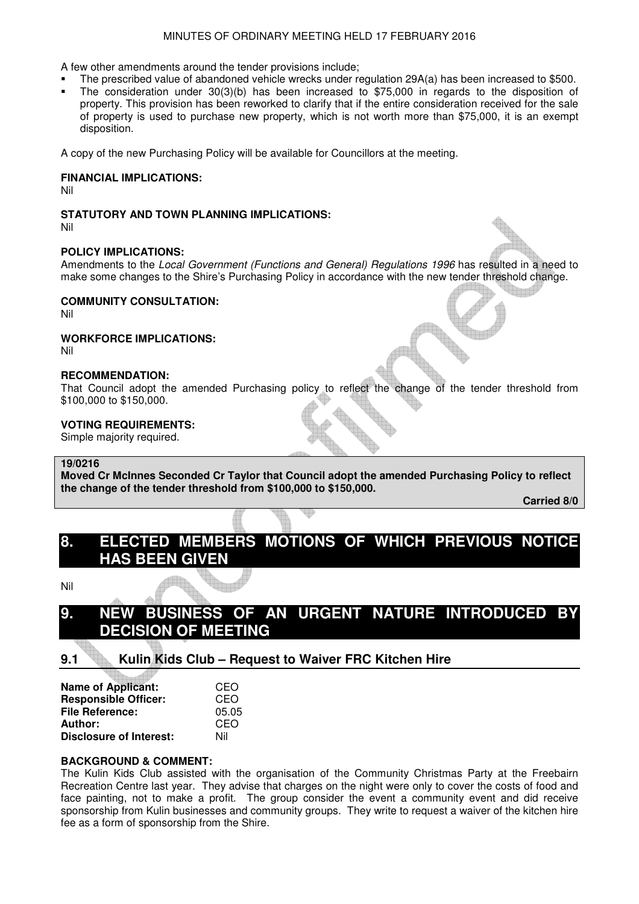#### MINUTES OF ORDINARY MEETING HELD 17 FEBRUARY 2016

A few other amendments around the tender provisions include;

- The prescribed value of abandoned vehicle wrecks under regulation 29A(a) has been increased to \$500.
- The consideration under 30(3)(b) has been increased to \$75,000 in regards to the disposition of property. This provision has been reworked to clarify that if the entire consideration received for the sale of property is used to purchase new property, which is not worth more than \$75,000, it is an exempt disposition.

A copy of the new Purchasing Policy will be available for Councillors at the meeting.

#### **FINANCIAL IMPLICATIONS:**

Nil

### **STATUTORY AND TOWN PLANNING IMPLICATIONS:**

Nil

#### **POLICY IMPLICATIONS:**

Amendments to the *Local Government (Functions and General) Regulations 1996* has resulted in a need to make some changes to the Shire's Purchasing Policy in accordance with the new tender threshold change.

#### **COMMUNITY CONSULTATION:**

Nil

**WORKFORCE IMPLICATIONS:** 

Nil

# **RECOMMENDATION:**

That Council adopt the amended Purchasing policy to reflect the change of the tender threshold from \$100,000 to \$150,000.

#### **VOTING REQUIREMENTS:**

Simple majority required.

#### **19/0216**

**Moved Cr McInnes Seconded Cr Taylor that Council adopt the amended Purchasing Policy to reflect the change of the tender threshold from \$100,000 to \$150,000.** 

**Carried 8/0** 

# **8. ELECTED MEMBERS MOTIONS OF WHICH PREVIOUS NOTICE HAS BEEN GIVEN**

Nil

# **9. NEW BUSINESS OF AN URGENT NATURE INTRODUCED BY DECISION OF MEETING**

# **9.1 Kulin Kids Club – Request to Waiver FRC Kitchen Hire**

| <b>Name of Applicant:</b>      | CEO   |
|--------------------------------|-------|
| <b>Responsible Officer:</b>    | CEO   |
| <b>File Reference:</b>         | 05.05 |
| Author:                        | CEO   |
| <b>Disclosure of Interest:</b> | Nil   |

# **BACKGROUND & COMMENT:**

The Kulin Kids Club assisted with the organisation of the Community Christmas Party at the Freebairn Recreation Centre last year. They advise that charges on the night were only to cover the costs of food and face painting, not to make a profit. The group consider the event a community event and did receive sponsorship from Kulin businesses and community groups. They write to request a waiver of the kitchen hire fee as a form of sponsorship from the Shire.